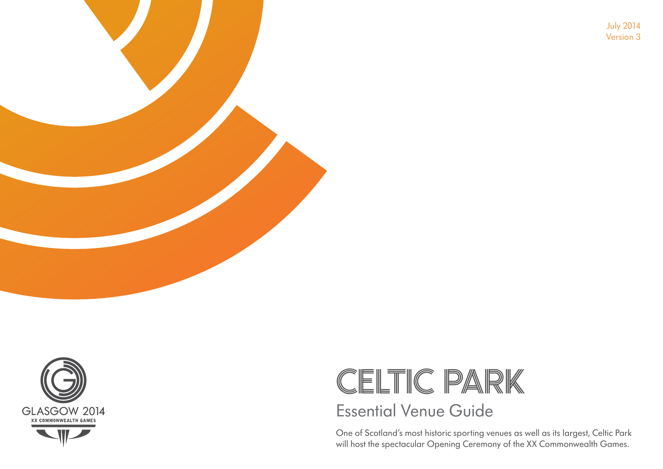



# CELTIC PARK Essential Venue Guide

One of Scotland's most historic sporting venues as well as its largest, Celtic Park will host the spectacular Opening Ceremony of the XX Commonwealth Games.

July 2014 Version 3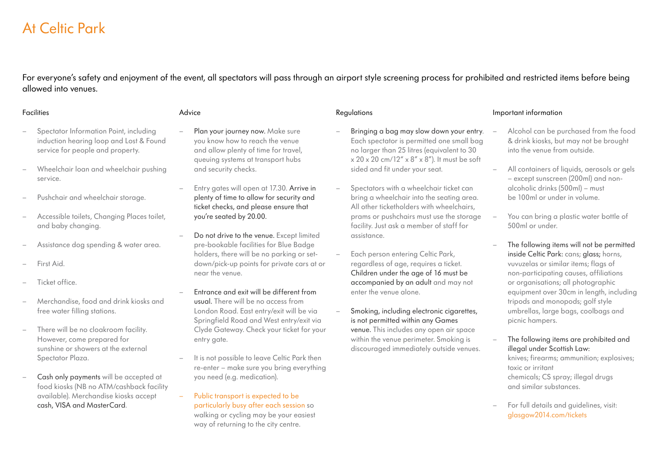## At Celtic Park

For everyone's safety and enjoyment of the event, all spectators will pass through an airport style screening process for prohibited and restricted items before being allowed into venues.

#### **Facilities**

- Spectator Information Point, including induction hearing loop and Lost & Found service for people and property.
- Wheelchair loan and wheelchair pushing service.
- Pushchair and wheelchair storage.
- Accessible toilets, Changing Places toilet, and baby changing.
- Assistance dog spending & water area.
- First Aid.
- Ticket office.
- Merchandise, food and drink kiosks and free water filling stations.
- There will be no cloakroom facility. However, come prepared for sunshine or showers at the external Spectator Plaza.
- Cash only payments will be accepted at food kiosks (NB no ATM/cashback facility available). Merchandise kiosks accept cash, VISA and MasterCard.

#### Advice

- Plan your journey now. Make sure you know how to reach the venue and allow plenty of time for travel, queuing systems at transport hubs and security checks.
- Entry gates will open at 17.30. Arrive in plenty of time to allow for security and ticket checks, and please ensure that you're seated by 20.00.
- Do not drive to the venue. Except limited pre-bookable facilities for Blue Badge holders, there will be no parking or setdown/pick-up points for private cars at or near the venue.
- Entrance and exit will be different from usual. There will be no access from London Road. East entry/exit will be via Springfield Road and West entry/exit via Clyde Gateway. Check your ticket for your entry gate.
- It is not possible to leave Celtic Park then re-enter – make sure you bring everything you need (e.g. medication).
- Public transport is expected to be particularly busy after each session so walking or cycling may be your easiest way of returning to the city centre.

#### **Regulations**

- Bringing a bag may slow down your entry. -Each spectator is permitted one small bag no larger than 25 litres (equivalent to 30 x 20 x 20 cm/12" x 8" x 8"). It must be soft sided and fit under your seat.
- Spectators with a wheelchair ticket can bring a wheelchair into the seating area. All other ticketholders with wheelchairs, prams or pushchairs must use the storage facility. Just ask a member of staff for assistance.
- Each person entering Celtic Park, regardless of age, requires a ticket. Children under the age of 16 must be accompanied by an adult and may not enter the venue alone.
- Smoking, including electronic cigarettes, is not permitted within any Games venue. This includes any open air space within the venue perimeter. Smoking is discouraged immediately outside venues.

#### Important information

- Alcohol can be purchased from the food & drink kiosks, but may not be brought into the venue from outside.
- All containers of liquids, aerosols or gels – except sunscreen (200ml) and nonalcoholic drinks (500ml) – must be 100ml or under in volume.
- You can bring a plastic water bottle of 500ml or under.
- The following items will not be permitted inside Celtic Park: cans; glass; horns, vuvuzelas or similar items; flags of non-participating causes, affiliations or organisations; all photographic equipment over 30cm in length, including tripods and monopods; golf style umbrellas, large bags, coolbags and picnic hampers.
- The following items are prohibited and illegal under Scottish Law: knives; firearms; ammunition; explosives; toxic or irritant chemicals; CS spray; illegal drugs and similar substances.
- For full details and guidelines, visit: glasgow2014.com/tickets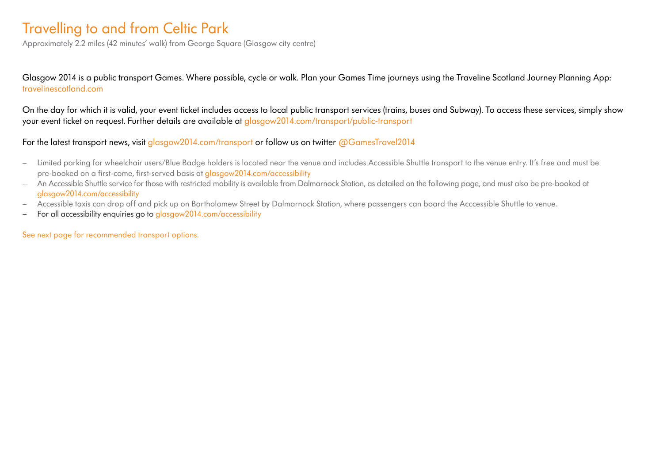#### Travelling to and from Celtic Park

Approximately 2.2 miles (42 minutes' walk) from George Square (Glasgow city centre)

Glasgow 2014 is a public transport Games. Where possible, cycle or walk. Plan your Games Time journeys using the Traveline Scotland Journey Planning App: travelinescotland.com

On the day for which it is valid, your event ticket includes access to local public transport services (trains, buses and Subway). To access these services, simply show your event ticket on request. Further details are available at glasgow2014.com/transport/public-transport

For the latest transport news, visit glasgow2014.com/transport or follow us on twitter @GamesTravel2014

- Limited parking for wheelchair users/Blue Badge holders is located near the venue and includes Accessible Shuttle transport to the venue entry. It's free and must be pre-booked on a first-come, first-served basis at glasgow2014.com/accessibility
- An Accessible Shuttle service for those with restricted mobility is available from Dalmarnock Station, as detailed on the following page, and must also be pre-booked at glasgow2014.com/accessibility
- Accessible taxis can drop off and pick up on Bartholomew Street by Dalmarnock Station, where passengers can board the Acccessible Shuttle to venue.
- For all accessibility enquiries go to glasgow2014.com/accessibility

See next page for recommended transport options.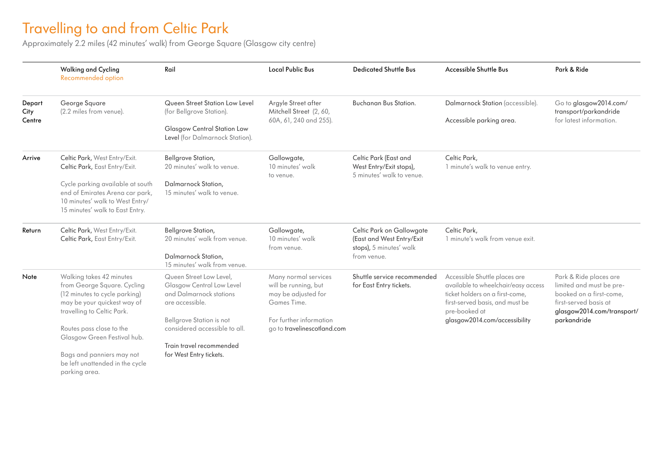## Travelling to and from Celtic Park

parking area.

Approximately 2.2 miles (42 minutes' walk) from George Square (Glasgow city centre)

|                          | <b>Walking and Cycling</b><br>Recommended option                                                                                                      | Rail                                                                                               | <b>Local Public Bus</b>                                                            | <b>Dedicated Shuttle Bus</b>                                                      | <b>Accessible Shuttle Bus</b>                                                                                                                               | Park & Ride                                                                                                                          |
|--------------------------|-------------------------------------------------------------------------------------------------------------------------------------------------------|----------------------------------------------------------------------------------------------------|------------------------------------------------------------------------------------|-----------------------------------------------------------------------------------|-------------------------------------------------------------------------------------------------------------------------------------------------------------|--------------------------------------------------------------------------------------------------------------------------------------|
| Depart<br>City<br>Centre | George Square<br>(2.2 miles from venue).                                                                                                              | Queen Street Station Low Level<br>(for Bellgrove Station).                                         | Argyle Street after<br>Mitchell Street (2, 60,<br>60A, 61, 240 and 255).           | <b>Buchanan Bus Station.</b>                                                      | Dalmarnock Station (accessible).<br>Accessible parking area.                                                                                                | Go to glasgow2014.com/<br>transport/parkandride<br>for latest information.                                                           |
|                          |                                                                                                                                                       | <b>Glasgow Central Station Low</b><br>Level (for Dalmarnock Station).                              |                                                                                    |                                                                                   |                                                                                                                                                             |                                                                                                                                      |
| Arrive                   | Celtic Park, West Entry/Exit.<br>Celtic Park, East Entry/Exit.                                                                                        | Bellgrove Station,<br>20 minutes' walk to venue.                                                   | Gallowgate,<br>10 minutes' walk<br>to venue.                                       | Celtic Park (East and<br>West Entry/Exit stops),<br>5 minutes' walk to venue.     | Celtic Park,<br>1 minute's walk to venue entry.                                                                                                             |                                                                                                                                      |
|                          | Cycle parking available at south<br>end of Emirates Arena car park,<br>10 minutes' walk to West Entry/<br>15 minutes' walk to East Entry.             | Dalmarnock Station,<br>15 minutes' walk to venue.                                                  |                                                                                    |                                                                                   |                                                                                                                                                             |                                                                                                                                      |
| Return                   | Celtic Park, West Entry/Exit.<br>Celtic Park, East Entry/Exit.                                                                                        | Bellgrove Station,<br>20 minutes' walk from venue.                                                 | Gallowgate,<br>10 minutes' walk<br>from venue.                                     | Celtic Park on Gallowgate<br>(East and West Entry/Exit<br>stops), 5 minutes' walk | Celtic Park,<br>1 minute's walk from venue exit.                                                                                                            |                                                                                                                                      |
|                          |                                                                                                                                                       | Dalmarnock Station,<br>15 minutes' walk from venue.                                                |                                                                                    | from venue.                                                                       |                                                                                                                                                             |                                                                                                                                      |
| Note                     | Walking takes 42 minutes<br>from George Square. Cycling<br>(12 minutes to cycle parking)<br>may be your quickest way of<br>travelling to Celtic Park. | Queen Street Low Level,<br>Glasgow Central Low Level<br>and Dalmarnock stations<br>are accessible. | Many normal services<br>will be running, but<br>may be adjusted for<br>Games Time. | Shuttle service recommended<br>for East Entry tickets.                            | Accessible Shuttle places are<br>available to wheelchair/easy access<br>ticket holders on a first-come,<br>first-served basis, and must be<br>pre-booked at | Park & Ride places are<br>limited and must be pre-<br>booked on a first-come,<br>first-served basis at<br>glasgow2014.com/transport/ |
|                          | Routes pass close to the<br>Glasgow Green Festival hub.                                                                                               | Bellgrove Station is not<br>considered accessible to all.                                          | For further information<br>go to travelinescotland.com                             |                                                                                   | glasgow2014.com/accessibility                                                                                                                               | parkandride                                                                                                                          |
|                          | Bags and panniers may not<br>be left unattended in the cycle                                                                                          | Train travel recommended<br>for West Entry tickets.                                                |                                                                                    |                                                                                   |                                                                                                                                                             |                                                                                                                                      |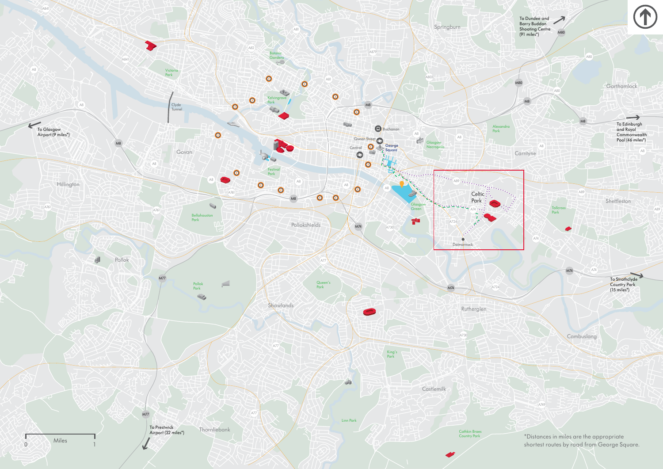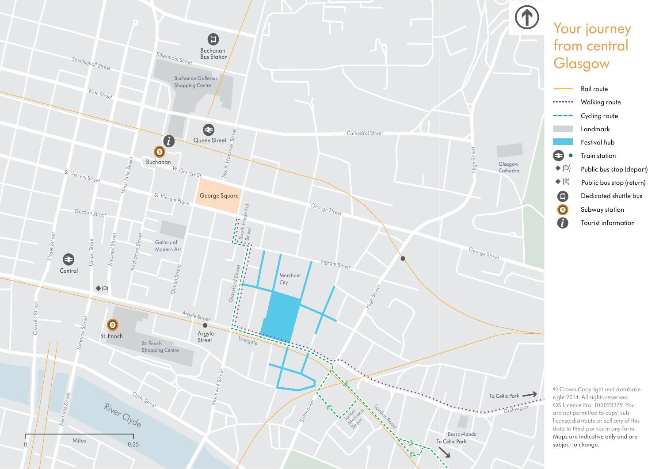

## Your journey from central **Glasgow**



© Crown Copyright and database right 2014. All rights reserved. OS Licence No. 100023379. You are not permitted to copy, sublicense,distribute or sell any of this data to third parties in any form. Maps are indicative only and are subject to change.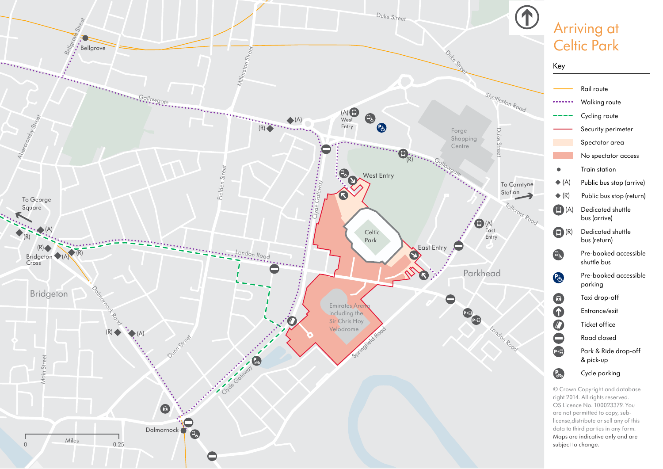

## Arriving at Celtic Park

Key



© Crown Copyright and database right 2014. All rights reserved. OS Licence No. 100023379. You are not permitted to copy, sublicense,distribute or sell any of this data to third parties in any form. Maps are indicative only and are subject to change.